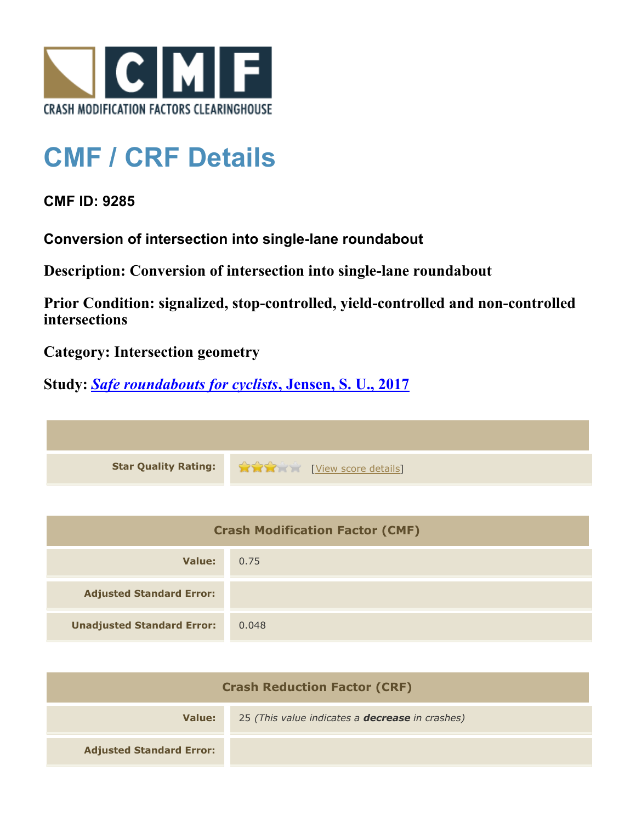

## **CMF / CRF Details**

## **CMF ID: 9285**

**Conversion of intersection into single-lane roundabout**

**Description: Conversion of intersection into single-lane roundabout**

**Prior Condition: signalized, stop-controlled, yield-controlled and non-controlled intersections**

**Category: Intersection geometry**

**Study:** *[Safe roundabouts for cyclists](http://www.cmfclearinghouse.org/study_detail.cfm?stid=516)***[, Jensen, S. U., 2017](http://www.cmfclearinghouse.org/study_detail.cfm?stid=516)**

**Star Quality Rating:**  $\bullet$   $\bullet$   $\bullet$   $\bullet$  [[View score details](http://www.cmfclearinghouse.org/score_details.cfm?facid=9285)]

| <b>Crash Modification Factor (CMF)</b> |       |
|----------------------------------------|-------|
| Value:                                 | 0.75  |
| <b>Adjusted Standard Error:</b>        |       |
| <b>Unadjusted Standard Error:</b>      | 0.048 |

| <b>Crash Reduction Factor (CRF)</b> |                                                        |
|-------------------------------------|--------------------------------------------------------|
| Value:                              | 25 (This value indicates a <b>decrease</b> in crashes) |
| <b>Adjusted Standard Error:</b>     |                                                        |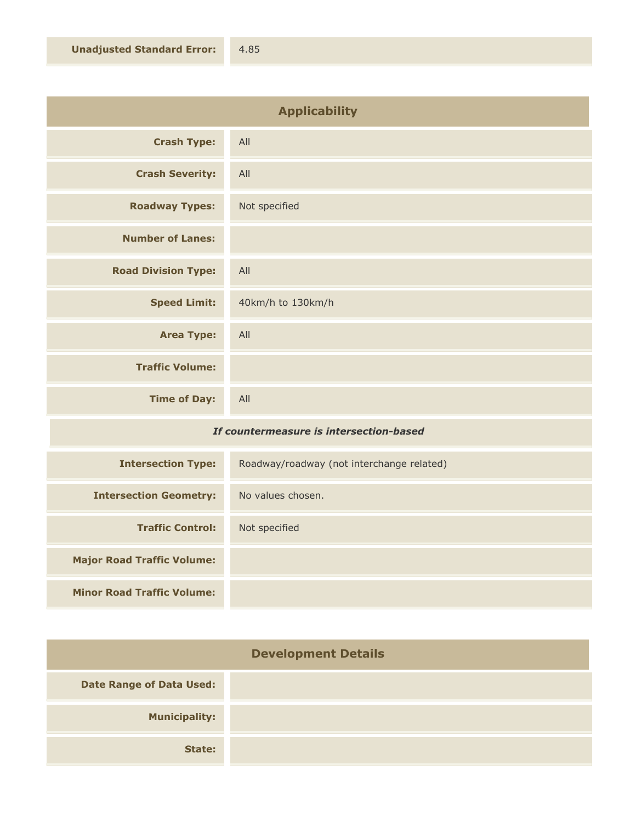| <b>Applicability</b>       |                   |
|----------------------------|-------------------|
| <b>Crash Type:</b>         | All               |
| <b>Crash Severity:</b>     | All               |
| <b>Roadway Types:</b>      | Not specified     |
| <b>Number of Lanes:</b>    |                   |
| <b>Road Division Type:</b> | All               |
| <b>Speed Limit:</b>        | 40km/h to 130km/h |
| <b>Area Type:</b>          | All               |
| <b>Traffic Volume:</b>     |                   |
| <b>Time of Day:</b>        | All               |

## *If countermeasure is intersection-based*

| <b>Intersection Type:</b>         | Roadway/roadway (not interchange related) |
|-----------------------------------|-------------------------------------------|
| <b>Intersection Geometry:</b>     | No values chosen.                         |
| <b>Traffic Control:</b>           | Not specified                             |
| <b>Major Road Traffic Volume:</b> |                                           |
| <b>Minor Road Traffic Volume:</b> |                                           |

| <b>Development Details</b>      |  |
|---------------------------------|--|
| <b>Date Range of Data Used:</b> |  |
| <b>Municipality:</b>            |  |
| State:                          |  |